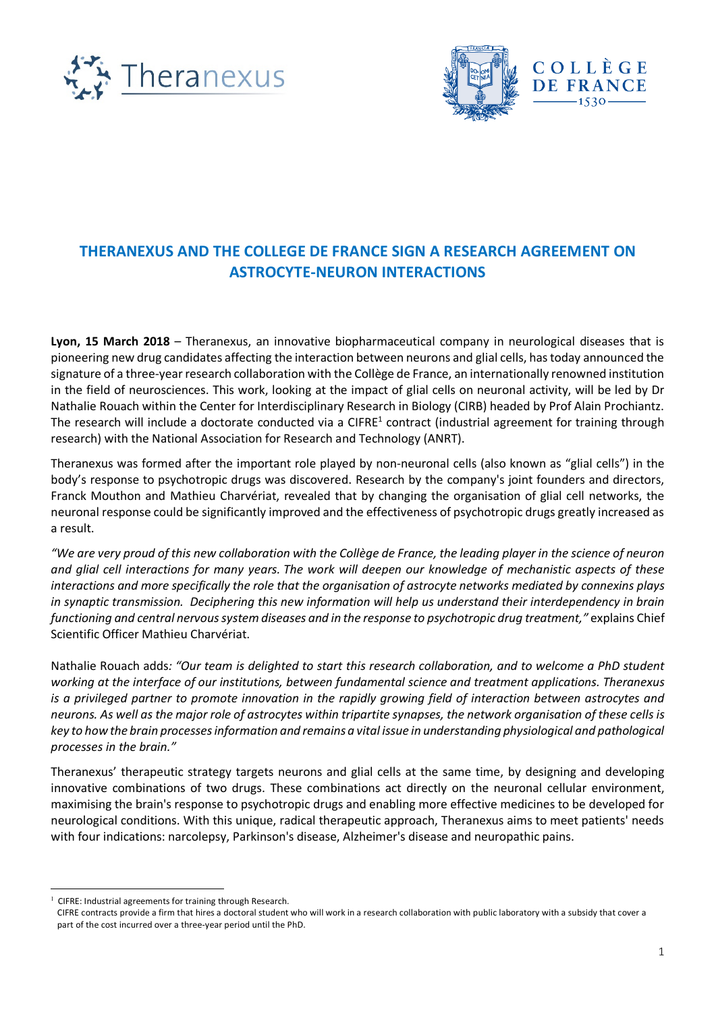



## **THERANEXUS AND THE COLLEGE DE FRANCE SIGN A RESEARCH AGREEMENT ON ASTROCYTE-NEURON INTERACTIONS**

**Lyon, 15 March 2018** – Theranexus, an innovative biopharmaceutical company in neurological diseases that is pioneering new drug candidates affecting the interaction between neurons and glial cells, has today announced the signature of a three-year research collaboration with the Collège de France, an internationally renowned institution in the field of neurosciences. This work, looking at the impact of glial cells on neuronal activity, will be led by Dr Nathalie Rouach within the Center for Interdisciplinary Research in Biology (CIRB) headed by Prof Alain Prochiantz. The research will include a doctorate conducted via a CIFRE<sup>1</sup> contract (industrial agreement for training through research) with the National Association for Research and Technology (ANRT).

Theranexus was formed after the important role played by non-neuronal cells (also known as "glial cells") in the body's response to psychotropic drugs was discovered. Research by the company's joint founders and directors, Franck Mouthon and Mathieu Charvériat, revealed that by changing the organisation of glial cell networks, the neuronal response could be significantly improved and the effectiveness of psychotropic drugs greatly increased as a result.

*"We are very proud of this new collaboration with the Collège de France, the leading player in the science of neuron and glial cell interactions for many years. The work will deepen our knowledge of mechanistic aspects of these interactions and more specifically the role that the organisation of astrocyte networks mediated by connexins plays in synaptic transmission. Deciphering this new information will help us understand their interdependency in brain functioning and central nervous system diseases and in the response to psychotropic drug treatment,"* explains Chief Scientific Officer Mathieu Charvériat.

Nathalie Rouach adds*: "Our team is delighted to start this research collaboration, and to welcome a PhD student working at the interface of our institutions, between fundamental science and treatment applications. Theranexus is a privileged partner to promote innovation in the rapidly growing field of interaction between astrocytes and neurons. As well as the major role of astrocytes within tripartite synapses, the network organisation of these cells is key to how the brain processes information and remains a vital issue in understanding physiological and pathological processes in the brain."* 

Theranexus' therapeutic strategy targets neurons and glial cells at the same time, by designing and developing innovative combinations of two drugs. These combinations act directly on the neuronal cellular environment, maximising the brain's response to psychotropic drugs and enabling more effective medicines to be developed for neurological conditions. With this unique, radical therapeutic approach, Theranexus aims to meet patients' needs with four indications: narcolepsy, Parkinson's disease, Alzheimer's disease and neuropathic pains.

 <sup>1</sup> CIFRE: Industrial agreements for training through Research.

CIFRE contracts provide a firm that hires a doctoral student who will work in a research collaboration with public laboratory with a subsidy that cover a part of the cost incurred over a three-year period until the PhD.